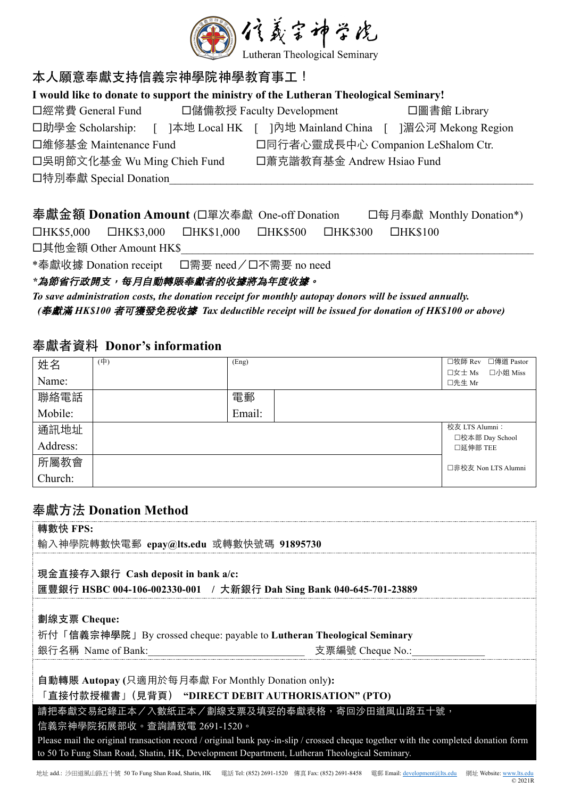

# 本人願意奉獻支持信義宗神學院神學教育事工!

| I would like to donate to support the ministry of the Lutheran Theological Seminary! |                                    |                                                        |  |  |  |
|--------------------------------------------------------------------------------------|------------------------------------|--------------------------------------------------------|--|--|--|
| 口經常費 General Fund                                                                    | 口儲備教授 Faculty Development          | □圖書館 Library                                           |  |  |  |
| 口助學金 Scholarship:                                                                    |                                    | ]本地 Local HK [ ]內地 Mainland China [ ]湄公河 Mekong Region |  |  |  |
| 口維修基金 Maintenance Fund                                                               | 口同行者心靈成長中心 Companion LeShalom Ctr. |                                                        |  |  |  |
| 口吳明節文化基金 Wu Ming Chieh Fund                                                          | 口蕭克諧教育基金 Andrew Hsiao Fund         |                                                        |  |  |  |
| 口特別奉獻 Special Donation                                                               |                                    |                                                        |  |  |  |
|                                                                                      |                                    |                                                        |  |  |  |

|                         |  | 奉獻金額 Donation Amount (口單次奉獻 One-off Donation                                     |  |  |                | 口每月奉獻 Monthly Donation*) |
|-------------------------|--|----------------------------------------------------------------------------------|--|--|----------------|--------------------------|
|                         |  | $\Box$ HK\$5,000 $\Box$ HK\$3,000 $\Box$ HK\$1,000 $\Box$ HK\$500 $\Box$ HK\$300 |  |  | $\Box$ HK\$100 |                          |
| 口其他金額 Other Amount HK\$ |  |                                                                                  |  |  |                |                          |
|                         |  | *奉獻收據 Donation receipt □需要 need/□不需要 no need                                     |  |  |                |                          |

#### \*為節省行政開支,每月自動轉賬奉獻者的收據將為年度收據。

*To save administration costs, the donation receipt for monthly autopay donors will be issued annually. (*奉獻滿 *HK\$100* 者可獲發免稅收據 *Tax deductible receipt will be issued for donation of HK\$100 or above)*

## 奉獻者資料 **Donor's information**

| 姓名       | (中) | (Eng)  | □牧師 Rev<br>□傳道 Pastor        |
|----------|-----|--------|------------------------------|
| Name:    |     |        | 口小姐 Miss<br>口女士 Ms<br>口先生 Mr |
| 聯絡電話     |     | 電郵     |                              |
| Mobile:  |     | Email: |                              |
| 通訊地址     |     |        | 校友 LTS Alumni:               |
| Address: |     |        | □校本部 Day School<br>□延伸部 TEE  |
| 所屬教會     |     |        | □非校友 Non LTS Alumni          |
| Church:  |     |        |                              |

## 奉獻⽅法 **Donation Method**

| 轉數快 FPS:                                                                                                                                                                                                                          |  |  |  |
|-----------------------------------------------------------------------------------------------------------------------------------------------------------------------------------------------------------------------------------|--|--|--|
| 輸入神學院轉數快電郵 epay@lts.edu 或轉數快號碼 91895730                                                                                                                                                                                           |  |  |  |
|                                                                                                                                                                                                                                   |  |  |  |
| 現金直接存入銀行 Cash deposit in bank a/c:                                                                                                                                                                                                |  |  |  |
| 匯豐銀行 HSBC 004-106-002330-001 / 大新銀行 Dah Sing Bank 040-645-701-23889                                                                                                                                                               |  |  |  |
|                                                                                                                                                                                                                                   |  |  |  |
| 劃線支票 Cheque:                                                                                                                                                                                                                      |  |  |  |
| 祈付「信義宗神學院」By crossed cheque: payable to Lutheran Theological Seminary                                                                                                                                                             |  |  |  |
| 銀行名稱 Name of Bank:<br>支票編號 Cheque No.:                                                                                                                                                                                            |  |  |  |
|                                                                                                                                                                                                                                   |  |  |  |
| 自動轉賬 Autopay (只適用於每月奉獻 For Monthly Donation only):                                                                                                                                                                                |  |  |  |
| 「直接付款授權書」(見背頁)"DIRECT DEBIT AUTHORISATION" (PTO)                                                                                                                                                                                  |  |  |  |
| 請把奉獻交易紀錄正本/入數紙正本/劃線支票及填妥的奉獻表格,寄回沙田道風山路五十號,                                                                                                                                                                                        |  |  |  |
| 信義宗神學院拓展部收。查詢請致電 2691-1520。                                                                                                                                                                                                       |  |  |  |
| Please mail the original transaction record / original bank pay-in-slip / crossed cheque together with the completed donation form<br>to 50 To Fung Shan Road, Shatin, HK, Development Department, Lutheran Theological Seminary. |  |  |  |